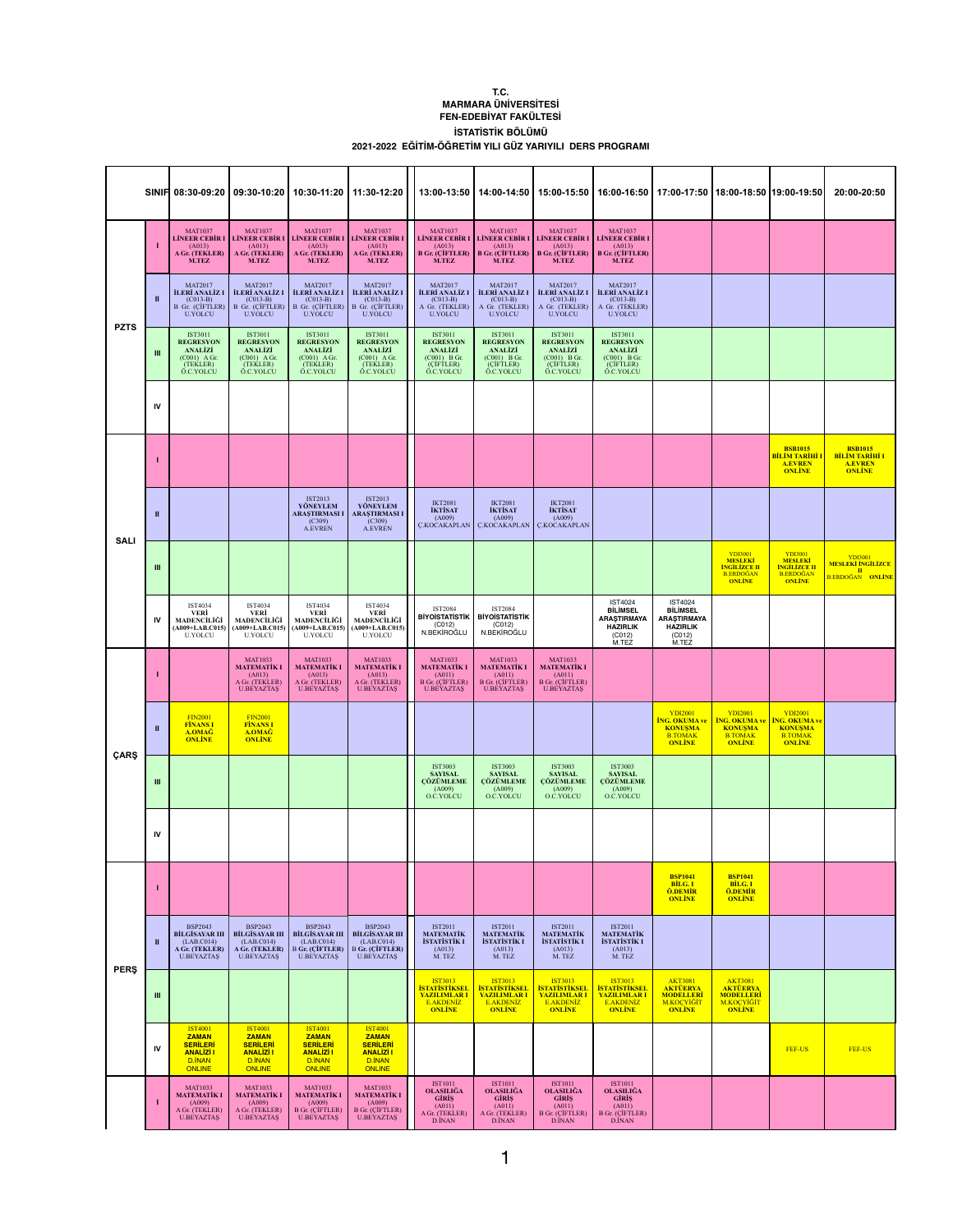## **T.C. MARMARA ÜNİVERSİTESİ FEN-EDEBİYAT FAKÜLTESİ İSTATİSTİK BÖLÜMÜ 2021-2022 EĞİTİM-ÖĞRETİM YILI GÜZ YARIYILI DERS PROGRAMI**

|             |                |                                                                                                  |                                                                                                                                                       |                                                                                                                                      | SINIF 08:30-09:20   09:30-10:20   10:30-11:20   11:30-12:20                                          |                                                                                                         | 13:00-13:50   14:00-14:50   15:00-15:50   16:00-16:50   17:00-17:50   18:00-18:50   19:00-19:50                                                                  |                                                                                                            |                                                                                                  |                                                                                               |                                                                                              |                                                                                             | 20:00-20:50                                                          |
|-------------|----------------|--------------------------------------------------------------------------------------------------|-------------------------------------------------------------------------------------------------------------------------------------------------------|--------------------------------------------------------------------------------------------------------------------------------------|------------------------------------------------------------------------------------------------------|---------------------------------------------------------------------------------------------------------|------------------------------------------------------------------------------------------------------------------------------------------------------------------|------------------------------------------------------------------------------------------------------------|--------------------------------------------------------------------------------------------------|-----------------------------------------------------------------------------------------------|----------------------------------------------------------------------------------------------|---------------------------------------------------------------------------------------------|----------------------------------------------------------------------|
| <b>PZTS</b> |                | <b>MAT1037</b><br>(A013)<br>A Gr. (TEKLER)<br><b>M.TEZ</b>                                       | <b>MAT1037</b><br>(A013)<br>A Gr. (TEKLER)<br><b>M.TEZ</b>                                                                                            | <b>MAT1037</b><br>LINEER CEBIR I LINEER CEBIR I LINEER CEBIR I LINEER CEBIR I<br>(A013)<br>A Gr. (TEKLER)<br><b>M.TEZ</b>            | <b>MAT1037</b><br>(A013)<br>A Gr. (TEKLER)<br><b>M.TEZ</b>                                           | <b>MAT1037</b><br>(A013)<br><b>M.TEZ</b>                                                                | <b>MAT1037</b><br>LINEER CEBIR I LINEER CEBIR I LINEER CEBIR I LINEER CEBIR I<br>(A013)<br>B Gr. (CIFTLER)   B Gr. (CIFTLER)   B Gr. (CIFTLER)  <br><b>M.TEZ</b> | <b>MAT1037</b><br>(A013)<br><b>M.TEZ</b>                                                                   | <b>MAT1037</b><br>(A013)<br><b>B</b> Gr. (CIFTLER)<br>M.TEZ                                      |                                                                                               |                                                                                              |                                                                                             |                                                                      |
|             |                | <b>MAT2017</b><br>$(C013-B)$<br><b>U.YOLCU</b>                                                   | <b>MAT2017</b><br><b>İLERİ ANALİZ I   İLERİ ANALİZ I</b><br>$(C013-B)$<br>$\overline{B}$ Gr. (CIFTLER) $\overline{B}$ Gr. (CIFTLER)<br><b>U.YOLCU</b> | <b>MAT2017</b><br><b>İLERİ ANALİZ I</b><br>$(C013-B)$<br>$\overline{B}$ Gr. (CIFTLER) $\overline{B}$ Gr. (CIFTLER)<br><b>U.YOLCU</b> | <b>MAT2017</b><br><b>İLERİ ANALİZ I</b><br>$(C013-B)$<br><b>U.YOLCU</b>                              | <b>MAT2017</b><br>İLERİ ANALİZ I<br>$(C013-B)$<br>A Gr. (TEKLER)<br><b>U.YOLCU</b>                      | <b>MAT2017</b><br>$(C013-B)$<br>A Gr. (TEKLER)<br><b>U.YOLCU</b>                                                                                                 | <b>MAT2017</b><br><b>İLERİ ANALİZ I   İLERİ ANALİZ I</b><br>$(C013-B)$<br>A Gr. (TEKLER)<br><b>U.YOLCU</b> | <b>MAT2017</b><br><b>İLERİ ANALİZ I</b><br>$(C013-B)$<br>A Gr. (TEKLER)<br><b>U.YOLCU</b>        |                                                                                               |                                                                                              |                                                                                             |                                                                      |
|             |                | <b>IST3011</b><br><b>REGRESYON</b><br><b>ANALIZI</b><br>$(C001)$ A Gr.<br>(TEKLER)<br>Ö.C.YOLCU  | IST3011<br><b>REGRESYON</b><br><b>ANALIZI</b><br>(C001) A Gr.<br>(TEKLER)<br>Ö.C.YOLCU                                                                | IST3011<br><b>REGRESYON</b><br><b>ANALİZİ</b><br>$(C001)$ A Gr.<br>(TEKLER)<br>Ö.C.YOLCU                                             | IST3011<br><b>REGRESYON</b><br><b>ANALİZİ</b><br>$(C001)$ A Gr.<br>(TEKLER)<br>Ö.C.YOLCU             | <b>IST3011</b><br><b>REGRESYON</b><br><b>ANALİZİ</b><br>$(C001)$ B Gr.<br>(ÇİFTLER)<br>Ö.C.YOLCU        | IST3011<br><b>REGRESYON</b><br><b>ANALİZİ</b><br>$(C001)$ B Gr.<br>(CİFTLER)<br>Ö.C.YOLCU                                                                        | IST3011<br><b>REGRESYON</b><br><b>ANALİZİ</b><br>$(C001)$ B Gr.<br>(CİFTLER)<br>Ö.C.YOLCU                  | <b>IST3011</b><br><b>REGRESYON</b><br><b>ANALİZİ</b><br>$(C001)$ B Gr.<br>(ÇİFTLER)<br>Ö.C.YOLCU |                                                                                               |                                                                                              |                                                                                             |                                                                      |
|             | IV             |                                                                                                  |                                                                                                                                                       |                                                                                                                                      |                                                                                                      |                                                                                                         |                                                                                                                                                                  |                                                                                                            |                                                                                                  |                                                                                               |                                                                                              |                                                                                             |                                                                      |
| <b>SALI</b> |                |                                                                                                  |                                                                                                                                                       |                                                                                                                                      |                                                                                                      |                                                                                                         |                                                                                                                                                                  |                                                                                                            |                                                                                                  |                                                                                               |                                                                                              | <b>BSB1015</b><br><b>BİLİM TARİHİ I</b><br><b>A.EVREN</b><br><b>ONLINE</b>                  | <b>BSB1015<br/>BILIM TARIHI I</b><br><b>A.EVREN</b><br><b>ONLINE</b> |
|             | Ш              |                                                                                                  |                                                                                                                                                       | <b>IST2013</b><br>YÖNEYLEM<br><b>ARAȘTIRMASI I</b><br>(C309)<br><b>A.EVREN</b>                                                       | <b>IST2013</b><br>YÖNEYLEM<br><b>ARAŞTIRMASI I</b><br>(C309)<br>A.EVREN                              | <b>IKT2081</b><br><b>İKTİSAT</b><br>(A009)<br><b>C.KOCAKAPLAN</b>                                       | <b>IKT2081</b><br><b>İKTİSAT</b><br>(A009)<br>C.KOCAKAPLAN   C.KOCAKAPLAN                                                                                        | <b>IKT2081</b><br><b>İKTİSAT</b><br>(A009)                                                                 |                                                                                                  |                                                                                               |                                                                                              |                                                                                             |                                                                      |
|             | Ш              |                                                                                                  |                                                                                                                                                       |                                                                                                                                      |                                                                                                      |                                                                                                         |                                                                                                                                                                  |                                                                                                            |                                                                                                  |                                                                                               | <b>YDI3001</b><br><b>MESLEKİ</b><br><b>İNGİLİZCE II</b><br><b>B.ERDOĞAN</b><br><b>ONLINE</b> | <b>YDI3001</b><br><b>MESLEKI<br/>INGILIZÇE II</b><br><b>B.ERDOĞAN</b>                       | <b>MESLEKİ İNGİLİZCE</b><br>$\mathbf{I}$<br><b>B.ERDOĞAN ONLİNE</b>  |
|             | <b>IV</b>      | IST4034<br><b>VERİ</b><br>MADENCİLİĞİ<br>$(A009+LAB.C015)$<br><b>U.YOLCU</b>                     | IST4034<br><b>VERİ</b><br>MADENCİLİĞİ<br>$(A009+LAB.C015)$<br><b>U.YOLCU</b>                                                                          | IST4034<br><b>VERI</b><br>MADENCİLİĞİ<br>$(A009+LAB.C015)$<br><b>U.YOLCU</b>                                                         | IST4034<br>VERİ<br>MADENCİLİĞİ<br>$(A009+LAB.C015)$<br><b>U.YOLCU</b>                                | <b>IST2084</b><br><b>BIYOISTATISTIK</b><br>(C012)<br>N.BEKİROĞLU                                        | <b>IST2084</b><br><b>BİYOİSTATİSTİK</b><br>(C012)<br>N.BEKİROĞLU                                                                                                 |                                                                                                            | <b>IST4024</b><br><b>BİLİMSEL</b><br><b>ARAŞTIRMAYA</b><br><b>HAZIRLIK</b><br>(C012)<br>M.TEZ    | <b>IST4024</b><br><b>BİLİMSEL</b><br><b>ARAŞTIRMAYA</b><br><b>HAZIRLIK</b><br>(C012)<br>M.TEZ |                                                                                              |                                                                                             |                                                                      |
| ÇARŞ        |                |                                                                                                  | <b>MAT1033</b><br><b>MATEMATİK I</b><br>(A013)<br>A Gr. (TEKLER)<br><b>U.BEYAZTAŞ</b>                                                                 | <b>MAT1033</b><br><b>MATEMATİK I</b><br>(A013)<br>A Gr. (TEKLER)<br><b>U.BEYAZTAŞ</b>                                                | <b>MAT1033</b><br><b>MATEMATİK I</b><br>(A013)<br>A Gr. (TEKLER)<br><b>U.BEYAZTAS</b>                | <b>MAT1033</b><br><b>MATEMATİK I</b><br>(A011)<br><b>B</b> Gr. (CİFTLER)<br><b>U.BEYAZTAŞ</b>           | <b>MAT1033</b><br><b>MATEMATİK I</b><br>(A011)<br><b>B</b> Gr. (CİFTLER)<br><b>U.BEYAZTAŞ</b>                                                                    | <b>MAT1033</b><br><b>MATEMATİK I</b><br>(A011)<br><b>B</b> Gr. (CIFTLER)<br><b>U.BEYAZTAŞ</b>              |                                                                                                  |                                                                                               |                                                                                              |                                                                                             |                                                                      |
|             |                | <b>FIN2001</b><br><b>FİNANS I</b><br>A.OMAĞ<br><b>ONLINE</b>                                     | <b>FIN2001</b><br><b>FİNANS I</b><br>A.OMAĞ<br><b>ONLINE</b>                                                                                          |                                                                                                                                      |                                                                                                      |                                                                                                         |                                                                                                                                                                  |                                                                                                            |                                                                                                  | <b>YDI2001</b><br><b>İNG. OKUMA ve</b><br><b>KONUŞMA</b><br><b>B.TOMAK</b><br><b>ONLINE</b>   | <b>YDI2001</b><br><b>İNG. OKUMA ve</b><br><b>KONUŞMA</b><br><b>B.TOMAK</b><br><b>ONLINE</b>  | <b>YDI2001</b><br><b>ING. OKUMA ve</b><br><b>KONUŞMA</b><br><b>B.TOMAK</b><br><b>ONLINE</b> |                                                                      |
|             | $\mathbf{III}$ |                                                                                                  |                                                                                                                                                       |                                                                                                                                      |                                                                                                      | <b>IST3003</b><br><b>SAYISAL</b><br><b><i>CÖZÜMLEME</i></b><br>(A009)<br>O.C.YOLCU                      | <b>IST3003</b><br><b>SAYISAL</b><br><b>ÇÖZÜMLEME</b><br>(A009)<br>O.C.YOLCU                                                                                      | <b>IST3003</b><br><b>SAYISAL</b><br><b><i>CÖZÜMLEME</i></b><br>(A009)<br>O.C.YOLCU                         | <b>IST3003</b><br><b>SAYISAL</b><br><b><i>CÖZÜMLEME</i></b><br>(A009)<br>O.C.YOLCU               |                                                                                               |                                                                                              |                                                                                             |                                                                      |
|             | <b>IV</b>      |                                                                                                  |                                                                                                                                                       |                                                                                                                                      |                                                                                                      |                                                                                                         |                                                                                                                                                                  |                                                                                                            |                                                                                                  |                                                                                               |                                                                                              |                                                                                             |                                                                      |
| <b>PERS</b> |                |                                                                                                  |                                                                                                                                                       |                                                                                                                                      |                                                                                                      |                                                                                                         |                                                                                                                                                                  |                                                                                                            |                                                                                                  | <b>BSP1041</b><br>BİLG. I<br>Ö.DEMİR<br><b>ONLINE</b>                                         | <b>BSP1041</b><br>BİLG. I<br><b>Ö.DEMİR</b><br><b>ONLINE</b>                                 |                                                                                             |                                                                      |
|             |                | <b>BSP2043</b><br><b>BİLGİSAYAR III</b><br>(LAB.C014)<br>A Gr. (TEKLER)<br><b>U.BEYAZTAŞ</b>     | <b>BSP2043</b><br><b>BİLGİSAYAR III</b><br>(LAB.C014)<br>A Gr. (TEKLER)<br><b>U.BEYAZTAŞ</b>                                                          | <b>BSP2043</b><br><b>BİLGİSAYAR III</b><br>(LAB.C014)<br>$B$ Gr. (CIFTLER)<br><b>U.BEYAZTAŞ</b>                                      | <b>BSP2043</b><br><b>BİLGİSAYAR III</b><br>(LAB.C014)<br><b>B</b> Gr. (CIFTLER)<br><b>U.BEYAZTAŞ</b> | IST2011<br><b>MATEMATİK</b><br><b>İSTATİSTİK I</b><br>(A013)<br>M. TEZ                                  | IST2011<br><b>MATEMATİK</b><br><b>İSTATİSTİK I</b><br>(A013)<br>M. TEZ                                                                                           | IST2011<br><b>MATEMATİK</b><br>İSTATİSTİK I<br>(A013)<br>M. TEZ                                            | <b>IST2011</b><br><b>MATEMATİK</b><br><b>İSTATİSTİK I</b><br>(A013)<br>M. TEZ                    |                                                                                               |                                                                                              |                                                                                             |                                                                      |
|             | Ш              |                                                                                                  |                                                                                                                                                       |                                                                                                                                      |                                                                                                      | <b>IST3013</b><br><mark>İstatistiksel</mark><br><mark>YAZILIMLAR I</mark><br>E.AKDENİZ<br><b>ONLINE</b> | <b>IST3013</b><br><b>İSTATİSTİKSEL</b><br><b>YAZILIMLARI</b><br>E.AKDENİZ<br><b>ONLINE</b>                                                                       | IST3013<br>ISTATISTIKSEL<br><b>YAZILIMLARI</b><br>E.AKDENİZ<br><b>ONLINE</b>                               | IST3013<br><b>İSTATİSTİKSEL</b><br><b>YAZILIMLARI</b><br>E.AKDENİZ<br><b>ONLINE</b>              | <b>AKT3081</b><br><b>AKTÜERYA</b><br><b>MODELLERİ</b><br>M.KOÇYİĞİT<br><b>ONLINE</b>          | AKT3081<br>AKTÜERYA<br><b>MODELLERİ</b><br>M.KOÇYİĞİT<br><b>ONLINE</b>                       |                                                                                             |                                                                      |
|             | IV             | <b>IST4001</b><br><b>ZAMAN</b><br><b>SERİLERİ</b><br><b>ANALIZI I</b><br>D.İNAN<br><b>ONLINE</b> | <b>IST4001</b><br><b>ZAMAN</b><br><b>SERİLERİ</b><br><b>ANALIZI I</b><br>D.İNAN<br>ONLINE                                                             | <b>IST4001</b><br><b>ZAMAN</b><br><b>SERİLERİ</b><br><b>ANALIZI I</b><br>D.İNAN<br>ONLINE                                            | <b>IST4001</b><br><b>ZAMAN</b><br><b>SERİLERİ</b><br><b>ANALIZI I</b><br>D.İNAN<br>ONLINE            |                                                                                                         |                                                                                                                                                                  |                                                                                                            |                                                                                                  |                                                                                               |                                                                                              | FEF-US                                                                                      | FEF-US                                                               |
|             |                | <b>MAT1033</b><br><b>MATEMATIK I</b><br>(A009)<br>A Gr. (TEKLER)<br><b>U.BEYAZTAŞ</b>            | <b>MAT1033</b><br><b>MATEMATİK I</b><br>(A009)<br>A Gr. (TEKLER)<br><b>U.BEYAZTAŞ</b>                                                                 | <b>MAT1033</b><br><b>MATEMATİK I</b><br>(A009)<br><b>B</b> Gr. (CİFTLER)<br><b>U.BEYAZTAŞ</b>                                        | <b>MAT1033</b><br><b>MATEMATİK I</b><br>(A009)<br><b>B</b> Gr. (CİFTLER)<br><b>U.BEYAZTAŞ</b>        | <b>IST1011</b><br>OLASILIĞA<br><b>GIRIS</b><br>(A011)<br>A Gr. (TEKLER)<br>D.İNAN                       | <b>IST1011</b><br>OLASILIĞA<br><b>GIRIS</b><br>(A011)<br>A Gr. (TEKLER)<br>D.İNAN                                                                                | <b>IST1011</b><br>OLASILIĞA<br><b>GIRIS</b><br>(A011)<br><b>B</b> Gr. (CIFTLER)<br>D.İNAN                  | <b>IST1011</b><br><b>OLASILIĞA</b><br><b>GIRIS</b><br>(A011)<br><b>B</b> Gr. (CIFTLER)<br>D.İNAN |                                                                                               |                                                                                              |                                                                                             |                                                                      |